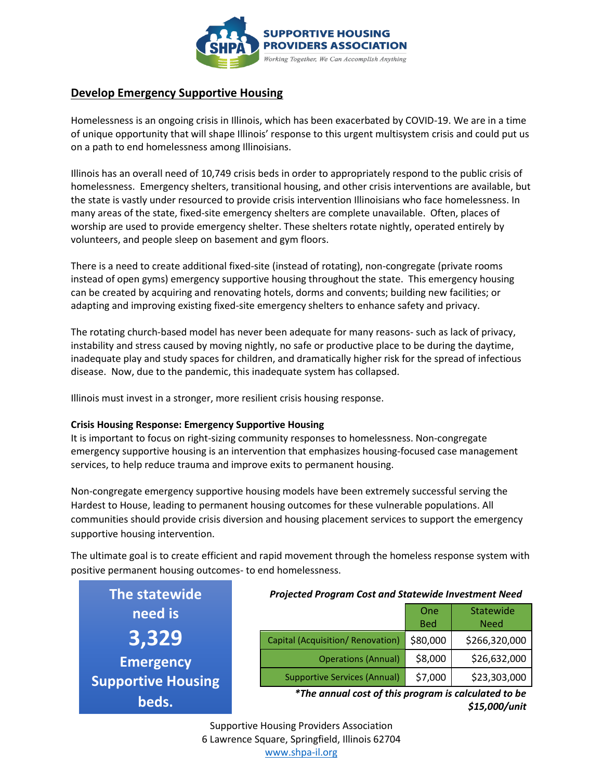

# **Develop Emergency Supportive Housing**

Homelessness is an ongoing crisis in Illinois, which has been exacerbated by COVID-19. We are in a time of unique opportunity that will shape Illinois' response to this urgent multisystem crisis and could put us on a path to end homelessness among Illinoisians.

Illinois has an overall need of 10,749 crisis beds in order to appropriately respond to the public crisis of homelessness. Emergency shelters, transitional housing, and other crisis interventions are available, but the state is vastly under resourced to provide crisis intervention Illinoisians who face homelessness. In many areas of the state, fixed-site emergency shelters are complete unavailable. Often, places of worship are used to provide emergency shelter. These shelters rotate nightly, operated entirely by volunteers, and people sleep on basement and gym floors.

There is a need to create additional fixed-site (instead of rotating), non-congregate (private rooms instead of open gyms) emergency supportive housing throughout the state. This emergency housing can be created by acquiring and renovating hotels, dorms and convents; building new facilities; or adapting and improving existing fixed-site emergency shelters to enhance safety and privacy.

The rotating church-based model has never been adequate for many reasons- such as lack of privacy, instability and stress caused by moving nightly, no safe or productive place to be during the daytime, inadequate play and study spaces for children, and dramatically higher risk for the spread of infectious disease. Now, due to the pandemic, this inadequate system has collapsed.

Illinois must invest in a stronger, more resilient crisis housing response.

### **Crisis Housing Response: Emergency Supportive Housing**

It is important to focus on right-sizing community responses to homelessness. Non-congregate emergency supportive housing is an intervention that emphasizes housing-focused case management services, to help reduce trauma and improve exits to permanent housing.

Non-congregate emergency supportive housing models have been extremely successful serving the Hardest to House, leading to permanent housing outcomes for these vulnerable populations. All communities should provide crisis diversion and housing placement services to support the emergency supportive housing intervention.

The ultimate goal is to create efficient and rapid movement through the homeless response system with positive permanent housing outcomes- to end homelessness.

| The statewide             |
|---------------------------|
| need is                   |
| <u>3,329</u>              |
| <b>Emergency</b>          |
| <b>Supportive Housing</b> |
| beds.                     |

#### *Projected Program Cost and Statewide Investment Need*

|                                     | One<br><b>Bed</b> | <b>Statewide</b><br><b>Need</b> |
|-------------------------------------|-------------------|---------------------------------|
| Capital (Acquisition/ Renovation)   | \$80,000          | \$266,320,000                   |
| <b>Operations (Annual)</b>          | \$8,000           | \$26,632,000                    |
| <b>Supportive Services (Annual)</b> | \$7,000           | \$23,303,000                    |

*\*The annual cost of this program is calculated to be \$15,000/unit*